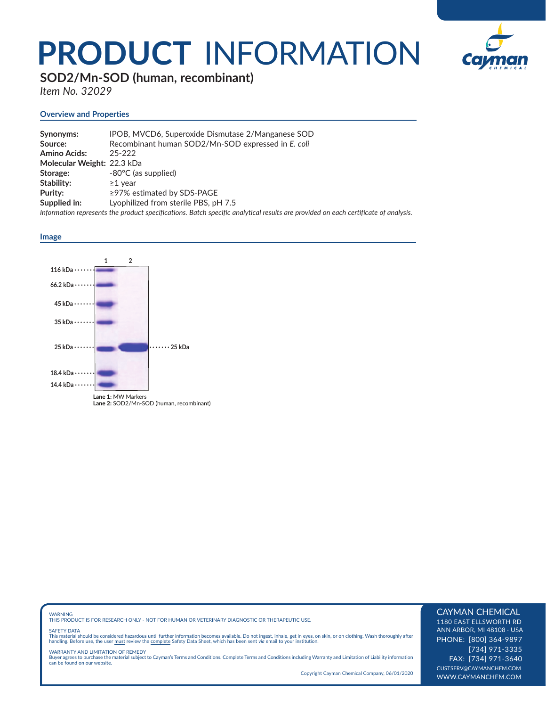## **PRODUCT** INFORMATION



**SOD2/Mn-SOD (human, recombinant)** 

*Item No. 32029*

#### **Overview and Properties**

| Synonyms:                  | IPOB, MVCD6, Superoxide Dismutase 2/Manganese SOD                                                                                  |
|----------------------------|------------------------------------------------------------------------------------------------------------------------------------|
| Source:                    | Recombinant human SOD2/Mn-SOD expressed in E. coli                                                                                 |
| <b>Amino Acids:</b>        | $25 - 222$                                                                                                                         |
| Molecular Weight: 22.3 kDa |                                                                                                                                    |
| Storage:                   | -80°C (as supplied)                                                                                                                |
| Stability:                 | $\geq$ 1 vear                                                                                                                      |
| Purity:                    | $\geq$ 97% estimated by SDS-PAGE                                                                                                   |
| Supplied in:               | Lyophilized from sterile PBS, pH 7.5                                                                                               |
|                            | Information represents the product specifications. Batch specific analytical results are provided on each certificate of analysis. |

#### **Image**



### WARNING THIS PRODUCT IS FOR RESEARCH ONLY - NOT FOR HUMAN OR VETERINARY DIAGNOSTIC OR THERAPEUTIC USE.

#### SAFETY DATA

This material should be considered hazardous until further information becomes available. Do not ingest, inhale, get in eyes, on skin, or on clothing. Wash thoroughly after<br>handling. Before use, the user must review the co

WARRANTY AND LIMITATION OF REMEDY Buyer agrees to purchase the material subject to Cayman's Terms and Conditions. Complete Terms and Conditions including Warranty and Limitation of Liability information can be found on our website.

Copyright Cayman Chemical Company, 06/01/2020

#### CAYMAN CHEMICAL

1180 EAST ELLSWORTH RD ANN ARBOR, MI 48108 · USA PHONE: [800] 364-9897 [734] 971-3335 FAX: [734] 971-3640 CUSTSERV@CAYMANCHEM.COM WWW.CAYMANCHEM.COM